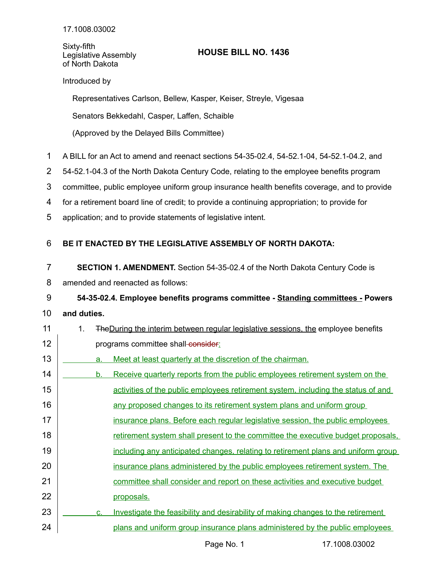Sixty-fifth Legislative Assembly of North Dakota

## **HOUSE BILL NO. 1436**

## Introduced by

Representatives Carlson, Bellew, Kasper, Keiser, Streyle, Vigesaa

Senators Bekkedahl, Casper, Laffen, Schaible

(Approved by the Delayed Bills Committee)

- A BILL for an Act to amend and reenact sections 54-35-02.4, 54-52.1-04, 54-52.1-04.2, and 1
- 54-52.1-04.3 of the North Dakota Century Code, relating to the employee benefits program 2
- committee, public employee uniform group insurance health benefits coverage, and to provide 3
- for a retirement board line of credit; to provide a continuing appropriation; to provide for 4
- application; and to provide statements of legislative intent. 5

## **BE IT ENACTED BY THE LEGISLATIVE ASSEMBLY OF NORTH DAKOTA:** 6

- **SECTION 1. AMENDMENT.** Section 54-35-02.4 of the North Dakota Century Code is 7
- amended and reenacted as follows: 8
- **54-35-02.4. Employee benefits programs committee Standing committees - Powers** 9
- **and duties.** 10
- 1. TheDuring the interim between regular legislative sessions, the employee benefits programs committee shall-consider: a. Meet at least quarterly at the discretion of the chairman. b. Receive quarterly reports from the public employees retirement system on the activities of the public employees retirement system, including the status of and any proposed changes to its retirement system plans and uniform group insurance plans. Before each regular legislative session, the public employees retirement system shall present to the committee the executive budget proposals, including any anticipated changes, relating to retirement plans and uniform group insurance plans administered by the public employees retirement system. The committee shall consider and report on these activities and executive budget proposals. c. Investigate the feasibility and desirability of making changes to the retirement plans and uniform group insurance plans administered by the public employees 11 12 13 14 15 16 17 18 19 20 21 22 23 24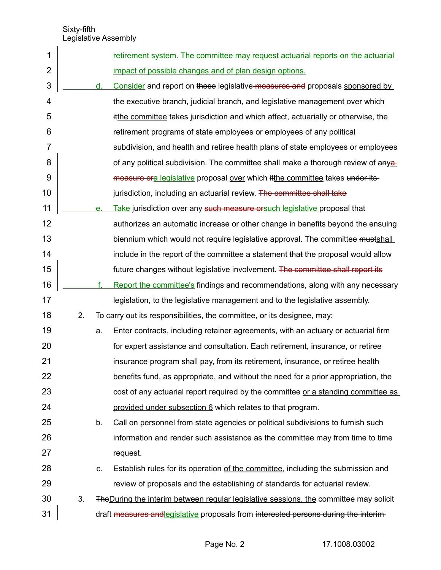| 1              |    |    | <u>retirement system. The committee may request actuarial reports on the actuarial</u> |
|----------------|----|----|----------------------------------------------------------------------------------------|
| $\overline{2}$ |    |    | impact of possible changes and of plan design options.                                 |
| 3              |    | d. | Consider and report on those legislative measures and proposals sponsored by           |
| 4              |    |    | the executive branch, judicial branch, and legislative management over which           |
| 5              |    |    | itthe committee takes jurisdiction and which affect, actuarially or otherwise, the     |
| 6              |    |    | retirement programs of state employees or employees of any political                   |
| 7              |    |    | subdivision, and health and retiree health plans of state employees or employees       |
| 8              |    |    | of any political subdivision. The committee shall make a thorough review of any a      |
| 9              |    |    | measure ora legislative proposal over which it the committee takes under its-          |
| 10             |    |    | jurisdiction, including an actuarial review. The committee shall take                  |
| 11             |    | е. | Take jurisdiction over any such measure or such legislative proposal that              |
| 12             |    |    | authorizes an automatic increase or other change in benefits beyond the ensuing        |
| 13             |    |    | biennium which would not require legislative approval. The committee mustshall         |
| 14             |    |    | include in the report of the committee a statement that the proposal would allow       |
| 15             |    |    | future changes without legislative involvement. The committee shall report its         |
| 16             |    | f. | Report the committee's findings and recommendations, along with any necessary          |
| 17             |    |    | legislation, to the legislative management and to the legislative assembly.            |
| 18             | 2. |    | To carry out its responsibilities, the committee, or its designee, may:                |
| 19             |    | a. | Enter contracts, including retainer agreements, with an actuary or actuarial firm      |
| 20             |    |    | for expert assistance and consultation. Each retirement, insurance, or retiree         |
| 21             |    |    | insurance program shall pay, from its retirement, insurance, or retiree health         |
| 22             |    |    | benefits fund, as appropriate, and without the need for a prior appropriation, the     |
| 23             |    |    | cost of any actuarial report required by the committee or a standing committee as      |
| 24             |    |    | provided under subsection 6 which relates to that program.                             |
| 25             |    | b. | Call on personnel from state agencies or political subdivisions to furnish such        |
| 26             |    |    | information and render such assistance as the committee may from time to time          |
| 27             |    |    | request.                                                                               |
| 28             |    | C. | Establish rules for its operation of the committee, including the submission and       |
| 29             |    |    | review of proposals and the establishing of standards for actuarial review.            |
| 30             | 3. |    | The During the interim between regular legislative sessions, the committee may solicit |
| 31             |    |    | draft measures and legislative proposals from interested persons during the interim-   |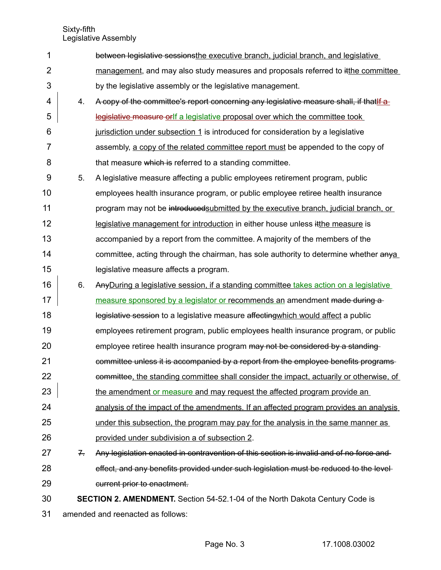Sixty-fifth

Legislative Assembly

| 1              |                                   | between legislative sessionsthe executive branch, judicial branch, and legislative      |
|----------------|-----------------------------------|-----------------------------------------------------------------------------------------|
| $\overline{2}$ |                                   | management, and may also study measures and proposals referred to itthe committee       |
| 3              |                                   | by the legislative assembly or the legislative management.                              |
| 4              | 4.                                | A copy of the committee's report concerning any legislative measure shall, if that if a |
| 5              |                                   | legislative measure orlf a legislative proposal over which the committee took           |
| 6              |                                   | jurisdiction under subsection 1 is introduced for consideration by a legislative        |
| $\overline{7}$ |                                   | assembly, a copy of the related committee report must be appended to the copy of        |
| 8              |                                   | that measure which is referred to a standing committee.                                 |
| 9              | 5.                                | A legislative measure affecting a public employees retirement program, public           |
| 10             |                                   | employees health insurance program, or public employee retiree health insurance         |
| 11             |                                   | program may not be introduced submitted by the executive branch, judicial branch, or    |
| 12             |                                   | legislative management for introduction in either house unless it the measure is        |
| 13             |                                   | accompanied by a report from the committee. A majority of the members of the            |
| 14             |                                   | committee, acting through the chairman, has sole authority to determine whether anya    |
| 15             |                                   | legislative measure affects a program.                                                  |
| 16             | 6.                                | Any During a legislative session, if a standing committee takes action on a legislative |
| 17             |                                   | measure sponsored by a legislator or recommends an amendment made during a              |
| 18             |                                   | legislative session to a legislative measure affecting which would affect a public      |
| 19             |                                   | employees retirement program, public employees health insurance program, or public      |
| 20             |                                   | employee retiree health insurance program may not be considered by a standing-          |
| 21             |                                   | committee unless it is accompanied by a report from the employee benefits programs-     |
| 22             |                                   | committee, the standing committee shall consider the impact, actuarily or otherwise, of |
| 23             |                                   | the amendment or measure and may request the affected program provide an                |
| 24             |                                   | analysis of the impact of the amendments. If an affected program provides an analysis   |
| 25             |                                   | under this subsection, the program may pay for the analysis in the same manner as       |
| 26             |                                   | provided under subdivision a of subsection 2.                                           |
| 27             | $Z_{\rm r}$                       | Any legislation enacted in contravention of this section is invalid and of no force and |
| 28             |                                   | effect, and any benefits provided under such legislation must be reduced to the level-  |
| 29             |                                   | current prior to enactment.                                                             |
| 30             |                                   | <b>SECTION 2. AMENDMENT.</b> Section 54-52.1-04 of the North Dakota Century Code is     |
| 31             | amended and reenacted as follows: |                                                                                         |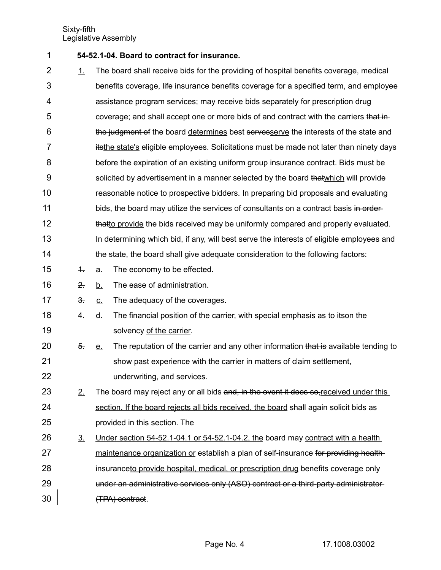- **54-52.1-04. Board to contract for insurance.** 1
- 1. The board shall receive bids for the providing of hospital benefits coverage, medical benefits coverage, life insurance benefits coverage for a specified term, and employee assistance program services; may receive bids separately for prescription drug coverage; and shall accept one or more bids of and contract with the carriers that inthe judgment of the board determines best servesserve the interests of the state and itsthe state's eligible employees. Solicitations must be made not later than ninety days before the expiration of an existing uniform group insurance contract. Bids must be solicited by advertisement in a manner selected by the board that which will provide reasonable notice to prospective bidders. In preparing bid proposals and evaluating bids, the board may utilize the services of consultants on a contract basis in orderthatto provide the bids received may be uniformly compared and properly evaluated. In determining which bid, if any, will best serve the interests of eligible employees and the state, the board shall give adequate consideration to the following factors:  $\frac{4}{1}$  a. The economy to be effected. 2. b. The ease of administration.  $\frac{3}{2}$  c. The adequacy of the coverages. 4. d. The financial position of the carrier, with special emphasis as to itson the solvency of the carrier. 5. e. The reputation of the carrier and any other information that is available tending to 2 3 4 5 6 7 8 9 10 11 12 13 14 15 16 17 18 19 20
- show past experience with the carrier in matters of claim settlement, underwriting, and services. 21 22
- $2.$  The board may reject any or all bids and, in the event it does so, received under this section. If the board rejects all bids received, the board shall again solicit bids as provided in this section. The 23 24 25
- $3.$  Under section 54-52.1-04.1 or 54-52.1-04.2, the board may contract with a health maintenance organization or establish a plan of self-insurance for providing healthinsuranceto provide hospital, medical, or prescription drug benefits coverage onlyunder an administrative services only (ASO) contract or a third-party administrator (TPA) contract. 26 27 28 29 30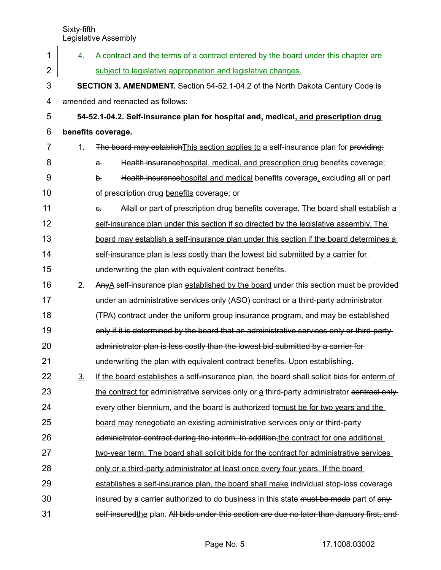| 1                       | 4.                                                                                    | A contract and the terms of a contract entered by the board under this chapter are            |  |  |  |
|-------------------------|---------------------------------------------------------------------------------------|-----------------------------------------------------------------------------------------------|--|--|--|
| $\overline{2}$          |                                                                                       | subject to legislative appropriation and legislative changes.                                 |  |  |  |
| 3                       | <b>SECTION 3. AMENDMENT.</b> Section 54-52.1-04.2 of the North Dakota Century Code is |                                                                                               |  |  |  |
| $\overline{\mathbf{4}}$ | amended and reenacted as follows:                                                     |                                                                                               |  |  |  |
| 5                       | 54-52.1-04.2. Self-insurance plan for hospital and, medical, and prescription drug    |                                                                                               |  |  |  |
| 6                       | benefits coverage.                                                                    |                                                                                               |  |  |  |
| 7                       | 1.                                                                                    | The board may establish This section applies to a self-insurance plan for providing:          |  |  |  |
| 8                       |                                                                                       | Health insurancehospital, medical, and prescription drug benefits coverage;<br>$\mathbf{a}$ . |  |  |  |
| 9                       |                                                                                       | Health insurancehospital and medical benefits coverage, excluding all or part<br>b.           |  |  |  |
| 10                      |                                                                                       | of prescription drug benefits coverage; or                                                    |  |  |  |
| 11                      |                                                                                       | Allall or part of prescription drug benefits coverage. The board shall establish a<br>$e$ .   |  |  |  |
| 12                      |                                                                                       | self-insurance plan under this section if so directed by the legislative assembly. The        |  |  |  |
| 13                      |                                                                                       | board may establish a self-insurance plan under this section if the board determines a        |  |  |  |
| 14                      |                                                                                       | self-insurance plan is less costly than the lowest bid submitted by a carrier for             |  |  |  |
| 15                      |                                                                                       | underwriting the plan with equivalent contract benefits.                                      |  |  |  |
| 16                      | 2.                                                                                    | Any A self-insurance plan established by the board under this section must be provided        |  |  |  |
| 17                      |                                                                                       | under an administrative services only (ASO) contract or a third-party administrator           |  |  |  |
| 18                      |                                                                                       | (TPA) contract under the uniform group insurance program, and may be established-             |  |  |  |
| 19                      |                                                                                       | only if it is determined by the board that an administrative services only or third-party-    |  |  |  |
| 20                      |                                                                                       | administrator plan is less costly than the lowest bid submitted by a carrier for-             |  |  |  |
| 21                      |                                                                                       | underwriting the plan with equivalent contract benefits. Upon establishing.                   |  |  |  |
| 22                      | 3 <sub>1</sub>                                                                        | If the board establishes a self-insurance plan, the board shall solicit bids for anterm of    |  |  |  |
| 23                      |                                                                                       | the contract for administrative services only or a third-party administrator contract only-   |  |  |  |
| 24                      |                                                                                       | every other biennium, and the board is authorized tomust be for two years and the             |  |  |  |
| 25                      |                                                                                       | board may renegotiate an existing administrative services only or third-party-                |  |  |  |
| 26                      |                                                                                       | administrator contract during the interim. In addition, the contract for one additional       |  |  |  |
| 27                      |                                                                                       | two-year term. The board shall solicit bids for the contract for administrative services      |  |  |  |
| 28                      |                                                                                       | <u>only or a third-party administrator at least once every four years. If the board</u>       |  |  |  |
| 29                      |                                                                                       | establishes a self-insurance plan, the board shall make individual stop-loss coverage         |  |  |  |
| 30                      |                                                                                       | insured by a carrier authorized to do business in this state must be made part of any-        |  |  |  |
| 31                      |                                                                                       | self-insuredthe plan. All bids under this section are due no later than January first, and    |  |  |  |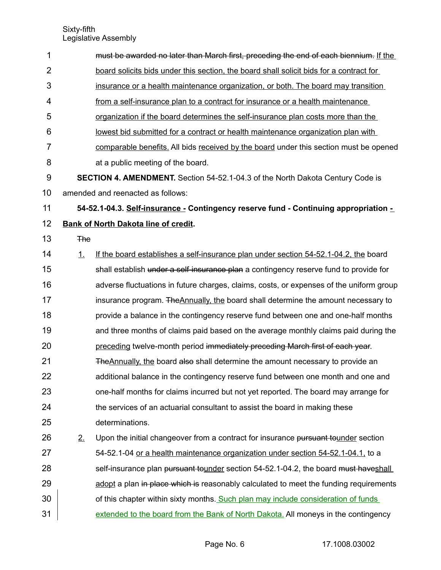| $\mathbf 1$    |            | must be awarded no later than March first, preceding the end of each biennium. If the   |
|----------------|------------|-----------------------------------------------------------------------------------------|
| $\overline{2}$ |            | board solicits bids under this section, the board shall solicit bids for a contract for |
| 3              |            | insurance or a health maintenance organization, or both. The board may transition       |
| 4              |            | from a self-insurance plan to a contract for insurance or a health maintenance          |
| 5              |            | organization if the board determines the self-insurance plan costs more than the        |
| 6              |            | lowest bid submitted for a contract or health maintenance organization plan with        |
| $\overline{7}$ |            | comparable benefits. All bids received by the board under this section must be opened   |
| 8              |            | at a public meeting of the board.                                                       |
| 9              |            | <b>SECTION 4. AMENDMENT.</b> Section 54-52.1-04.3 of the North Dakota Century Code is   |
| 10             |            | amended and reenacted as follows:                                                       |
| 11             |            | 54-52.1-04.3. Self-insurance - Contingency reserve fund - Continuing appropriation -    |
| 12             |            | <b>Bank of North Dakota line of credit.</b>                                             |
| 13             | <b>The</b> |                                                                                         |
| 14             | 1.         | If the board establishes a self-insurance plan under section 54-52.1-04.2, the board    |
| 15             |            | shall establish under a self-insurance plan a contingency reserve fund to provide for   |
| 16             |            | adverse fluctuations in future charges, claims, costs, or expenses of the uniform group |
| 17             |            | insurance program. The Annually, the board shall determine the amount necessary to      |
| 18             |            | provide a balance in the contingency reserve fund between one and one-half months       |
| 19             |            | and three months of claims paid based on the average monthly claims paid during the     |
| 20             |            | preceding twelve-month period immediately preceding March first of each year.           |
| 21             |            | The Annually, the board also shall determine the amount necessary to provide an         |
| 22             |            | additional balance in the contingency reserve fund between one month and one and        |
| 23             |            | one-half months for claims incurred but not yet reported. The board may arrange for     |
| 24             |            | the services of an actuarial consultant to assist the board in making these             |
| 25             |            | determinations.                                                                         |
| 26             | 2.         | Upon the initial changeover from a contract for insurance pursuant tounder section      |
| 27             |            | 54-52.1-04 or a health maintenance organization under section 54-52.1-04.1, to a        |
| 28             |            | self-insurance plan pursuant tounder section 54-52.1-04.2, the board must haveshall     |
| 29             |            | adopt a plan in place which is reasonably calculated to meet the funding requirements   |
| 30             |            | of this chapter within sixty months. Such plan may include consideration of funds       |
| 31             |            | extended to the board from the Bank of North Dakota. All moneys in the contingency      |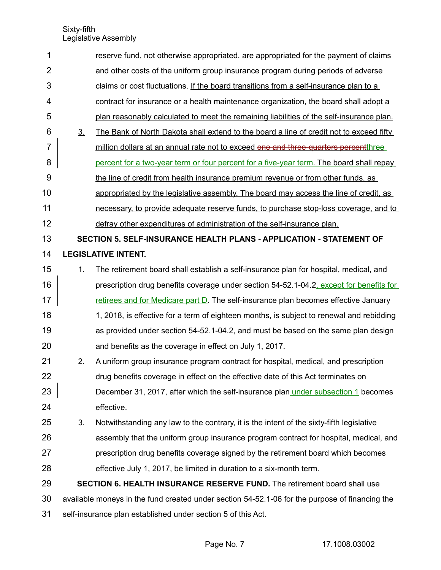| 1              |                                                                                                | reserve fund, not otherwise appropriated, are appropriated for the payment of claims     |
|----------------|------------------------------------------------------------------------------------------------|------------------------------------------------------------------------------------------|
| $\overline{2}$ |                                                                                                | and other costs of the uniform group insurance program during periods of adverse         |
| 3              |                                                                                                | claims or cost fluctuations. If the board transitions from a self-insurance plan to a    |
| 4              |                                                                                                | contract for insurance or a health maintenance organization, the board shall adopt a     |
| 5              |                                                                                                | plan reasonably calculated to meet the remaining liabilities of the self-insurance plan. |
| 6              | 3 <sub>1</sub>                                                                                 | The Bank of North Dakota shall extend to the board a line of credit not to exceed fifty  |
| 7              |                                                                                                | million dollars at an annual rate not to exceed one and three-quarters percentthree      |
| 8              |                                                                                                | percent for a two-year term or four percent for a five-year term. The board shall repay  |
| 9              |                                                                                                | the line of credit from health insurance premium revenue or from other funds, as         |
| 10             |                                                                                                | appropriated by the legislative assembly. The board may access the line of credit, as    |
| 11             |                                                                                                | necessary, to provide adequate reserve funds, to purchase stop-loss coverage, and to     |
| 12             |                                                                                                | defray other expenditures of administration of the self-insurance plan.                  |
| 13             |                                                                                                | SECTION 5. SELF-INSURANCE HEALTH PLANS - APPLICATION - STATEMENT OF                      |
| 14             |                                                                                                | <b>LEGISLATIVE INTENT.</b>                                                               |
| 15             | 1.                                                                                             | The retirement board shall establish a self-insurance plan for hospital, medical, and    |
| 16             |                                                                                                | prescription drug benefits coverage under section 54-52.1-04.2, except for benefits for  |
| 17             |                                                                                                | retirees and for Medicare part $D$ . The self-insurance plan becomes effective January   |
| 18             |                                                                                                | 1, 2018, is effective for a term of eighteen months, is subject to renewal and rebidding |
| 19             |                                                                                                | as provided under section 54-52.1-04.2, and must be based on the same plan design        |
| 20             |                                                                                                | and benefits as the coverage in effect on July 1, 2017.                                  |
| 21             | 2.                                                                                             | A uniform group insurance program contract for hospital, medical, and prescription       |
| 22             |                                                                                                | drug benefits coverage in effect on the effective date of this Act terminates on         |
| 23             |                                                                                                | December 31, 2017, after which the self-insurance plan under subsection 1 becomes        |
| 24             |                                                                                                | effective.                                                                               |
| 25             | 3.                                                                                             | Notwithstanding any law to the contrary, it is the intent of the sixty-fifth legislative |
| 26             |                                                                                                | assembly that the uniform group insurance program contract for hospital, medical, and    |
| 27             |                                                                                                | prescription drug benefits coverage signed by the retirement board which becomes         |
| 28             |                                                                                                | effective July 1, 2017, be limited in duration to a six-month term.                      |
| 29             |                                                                                                | <b>SECTION 6. HEALTH INSURANCE RESERVE FUND.</b> The retirement board shall use          |
| 30             | available moneys in the fund created under section 54-52.1-06 for the purpose of financing the |                                                                                          |
| 31             | self-insurance plan established under section 5 of this Act.                                   |                                                                                          |